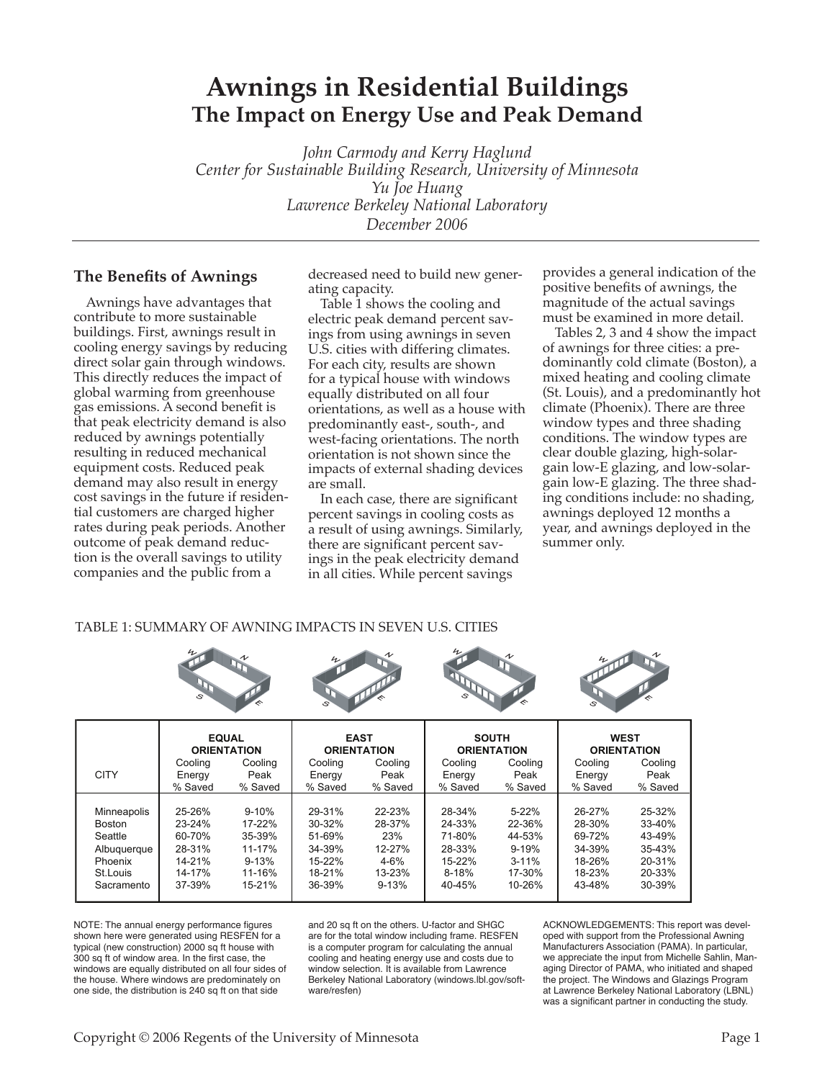# **Awnings in Residential Buildings The Impact on Energy Use and Peak Demand**

*John Carmody and Kerry Haglund Center for Sustainable Building Research, University of Minnesota Yu Joe Huang Lawrence Berkeley National Laboratory December 2006*

## **The Benefits of Awnings**

Awnings have advantages that contribute to more sustainable buildings. First, awnings result in cooling energy savings by reducing direct solar gain through windows. This directly reduces the impact of global warming from greenhouse gas emissions. A second benefit is that peak electricity demand is also reduced by awnings potentially resulting in reduced mechanical equipment costs. Reduced peak demand may also result in energy cost savings in the future if residential customers are charged higher rates during peak periods. Another outcome of peak demand reduction is the overall savings to utility companies and the public from a

decreased need to build new generating capacity.

Table 1 shows the cooling and electric peak demand percent savings from using awnings in seven U.S. cities with differing climates. For each city, results are shown for a typical house with windows equally distributed on all four orientations, as well as a house with predominantly east-, south-, and west-facing orientations. The north orientation is not shown since the impacts of external shading devices are small.

In each case, there are significant percent savings in cooling costs as a result of using awnings. Similarly, there are significant percent savings in the peak electricity demand in all cities. While percent savings

provides a general indication of the positive benefits of awnings, the magnitude of the actual savings must be examined in more detail.

Tables 2, 3 and 4 show the impact of awnings for three cities: a predominantly cold climate (Boston), a mixed heating and cooling climate (St. Louis), and a predominantly hot climate (Phoenix). There are three window types and three shading conditions. The window types are clear double glazing, high-solargain low-E glazing, and low-solargain low-E glazing. The three shading conditions include: no shading, awnings deployed 12 months a year, and awnings deployed in the summer only.

### TABLE 1: SUMMARY OF AWNING IMPACTS IN SEVEN U.S. CITIES

|               |            | <b>EQUAL</b><br><b>ORIENTATION</b> |         | <b>EAST</b><br><b>ORIENTATION</b> |            | <b>SOUTH</b><br><b>ORIENTATION</b> | <b>WEST</b><br><b>ORIENTATION</b> |            |
|---------------|------------|------------------------------------|---------|-----------------------------------|------------|------------------------------------|-----------------------------------|------------|
|               | Cooling    | Cooling                            | Cooling | Cooling                           | Cooling    | Cooling                            | Cooling                           | Cooling    |
| <b>CITY</b>   | Energy     | Peak                               | Energy  | Peak                              | Energy     | Peak                               | Energy                            | Peak       |
|               | % Saved    | % Saved                            | % Saved | % Saved                           | % Saved    | % Saved                            | % Saved                           | % Saved    |
|               |            |                                    |         |                                   |            |                                    |                                   |            |
| Minneapolis   | 25-26%     | $9 - 10%$                          | 29-31%  | 22-23%                            | 28-34%     | $5-22%$                            | 26-27%                            | 25-32%     |
| <b>Boston</b> | $23 - 24%$ | 17-22%                             | 30-32%  | 28-37%                            | 24-33%     | 22-36%                             | 28-30%                            | 33-40%     |
| Seattle       | 60-70%     | 35-39%                             | 51-69%  | 23%                               | 71-80%     | 44-53%                             | 69-72%                            | 43-49%     |
| Albuquerque   | 28-31%     | 11-17%                             | 34-39%  | $12 - 27%$                        | 28-33%     | $9 - 19%$                          | 34-39%                            | $35 - 43%$ |
| Phoenix       | $14 - 21%$ | $9 - 13%$                          | 15-22%  | $4 - 6%$                          | $15 - 22%$ | $3 - 11%$                          | 18-26%                            | 20-31%     |
| St.Louis      | 14-17%     | 11-16%                             | 18-21%  | $13 - 23%$                        | $8 - 18%$  | 17-30%                             | 18-23%                            | 20-33%     |
| Sacramento    | 37-39%     | 15-21%                             | 36-39%  | $9 - 13%$                         | 40-45%     | 10-26%                             | 43-48%                            | 30-39%     |
|               |            |                                    |         |                                   |            |                                    |                                   |            |

NOTE: The annual energy performance figures shown here were generated using RESFEN for a typical (new construction) 2000 sq ft house with 300 sq ft of window area. In the first case, the windows are equally distributed on all four sides of the house. Where windows are predominately on one side, the distribution is 240 sq ft on that side

and 20 sq ft on the others. U-factor and SHGC are for the total window including frame. RESFEN is a computer program for calculating the annual cooling and heating energy use and costs due to window selection. It is available from Lawrence Berkeley National Laboratory ([windows.lbl.gov/soft](http://windows.lbl.gov/software/resfen)[ware/resfen\)](http://windows.lbl.gov/software/resfen)

ACKNOWLEDGEMENTS: This report was developed with support from the Professional Awning Manufacturers Association (PAMA). In particular, we appreciate the input from Michelle Sahlin, Managing Director of PAMA, who initiated and shaped the project. The Windows and Glazings Program at Lawrence Berkeley National Laboratory (LBNL) was a significant partner in conducting the study.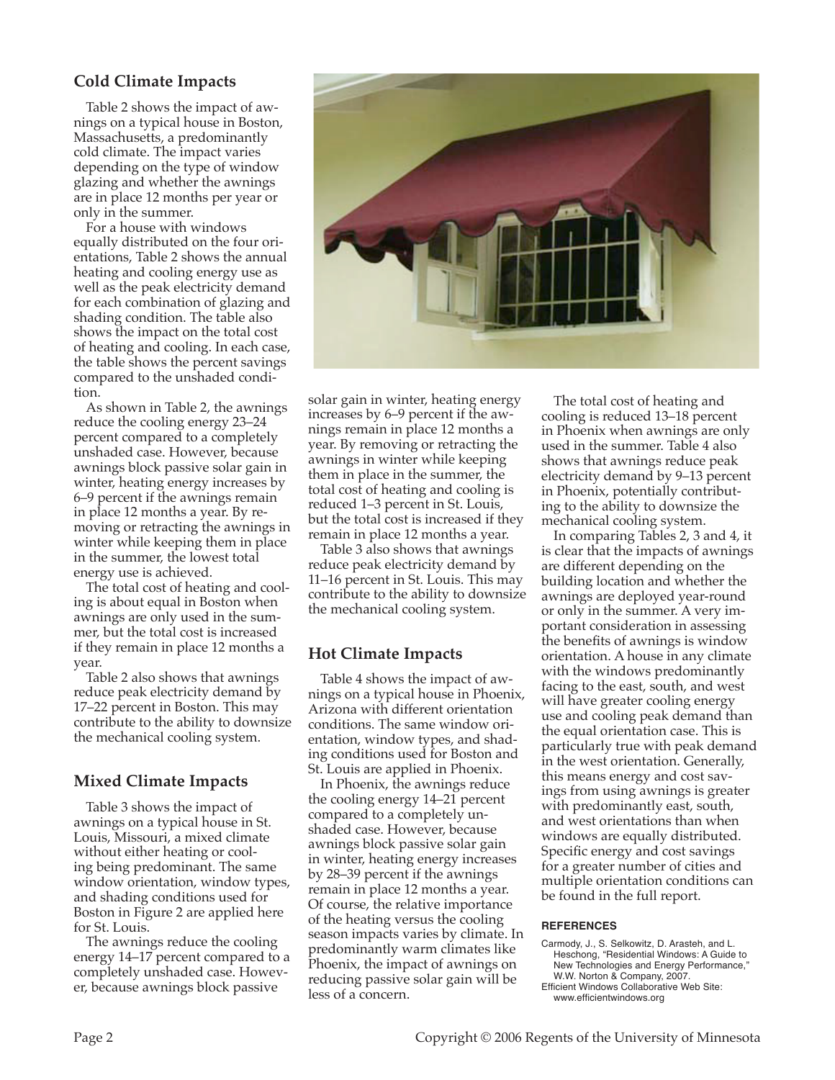# **Cold Climate Impacts**

Table 2 shows the impact of awnings on a typical house in Boston, Massachusetts, a predominantly cold climate. The impact varies depending on the type of window glazing and whether the awnings are in place 12 months per year or only in the summer.

For a house with windows equally distributed on the four orientations, Table 2 shows the annual heating and cooling energy use as well as the peak electricity demand for each combination of glazing and shading condition. The table also shows the impact on the total cost of heating and cooling. In each case, the table shows the percent savings compared to the unshaded condition.

As shown in Table 2, the awnings reduce the cooling energy 23–24 percent compared to a completely unshaded case. However, because awnings block passive solar gain in winter, heating energy increases by 6–9 percent if the awnings remain in place 12 months a year. By removing or retracting the awnings in winter while keeping them in place in the summer, the lowest total energy use is achieved.

The total cost of heating and cooling is about equal in Boston when awnings are only used in the summer, but the total cost is increased if they remain in place 12 months a year.

Table 2 also shows that awnings reduce peak electricity demand by 17–22 percent in Boston. This may contribute to the ability to downsize the mechanical cooling system.

# **Mixed Climate Impacts**

Table 3 shows the impact of awnings on a typical house in St. Louis, Missouri, a mixed climate without either heating or cooling being predominant. The same window orientation, window types, and shading conditions used for Boston in Figure 2 are applied here for St. Louis.

The awnings reduce the cooling energy 14–17 percent compared to a completely unshaded case. However, because awnings block passive



solar gain in winter, heating energy increases by 6–9 percent if the awnings remain in place 12 months a year. By removing or retracting the awnings in winter while keeping them in place in the summer, the total cost of heating and cooling is reduced 1–3 percent in St. Louis, but the total cost is increased if they remain in place 12 months a year.

Table 3 also shows that awnings reduce peak electricity demand by 11–16 percent in St. Louis. This may contribute to the ability to downsize the mechanical cooling system.

# **Hot Climate Impacts**

Table 4 shows the impact of awnings on a typical house in Phoenix, Arizona with different orientation conditions. The same window orientation, window types, and shading conditions used for Boston and St. Louis are applied in Phoenix.

In Phoenix, the awnings reduce the cooling energy 14–21 percent compared to a completely unshaded case. However, because awnings block passive solar gain in winter, heating energy increases by 28–39 percent if the awnings remain in place 12 months a year. Of course, the relative importance of the heating versus the cooling season impacts varies by climate. In predominantly warm climates like Phoenix, the impact of awnings on reducing passive solar gain will be less of a concern.

The total cost of heating and cooling is reduced 13–18 percent in Phoenix when awnings are only used in the summer. Table 4 also shows that awnings reduce peak electricity demand by 9–13 percent in Phoenix, potentially contributing to the ability to downsize the mechanical cooling system.

In comparing Tables 2, 3 and 4, it is clear that the impacts of awnings are different depending on the building location and whether the awnings are deployed year-round or only in the summer. A very important consideration in assessing the benefits of awnings is window orientation. A house in any climate with the windows predominantly facing to the east, south, and west will have greater cooling energy use and cooling peak demand than the equal orientation case. This is particularly true with peak demand in the west orientation. Generally, this means energy and cost savings from using awnings is greater with predominantly east, south, and west orientations than when windows are equally distributed. Specific energy and cost savings for a greater number of cities and multiple orientation conditions can be found in the full report.

#### **REFERENCES**

- Carmody, J., S. Selkowitz, D. Arasteh, and L. Heschong, "Residential Windows: A Guide to New Technologies and Energy Performance," W.W. Norton & Company, 2007. Efficient Windows Collaborative Web Site:
- www.efficientwindows.org